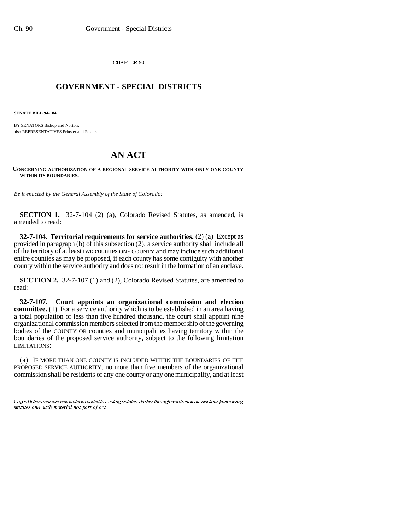CHAPTER 90

## \_\_\_\_\_\_\_\_\_\_\_\_\_\_\_ **GOVERNMENT - SPECIAL DISTRICTS** \_\_\_\_\_\_\_\_\_\_\_\_\_\_\_

**SENATE BILL 94-184**

BY SENATORS Bishop and Norton; also REPRESENTATIVES Prinster and Foster.

## **AN ACT**

## **CONCERNING AUTHORIZATION OF A REGIONAL SERVICE AUTHORITY WITH ONLY ONE COUNTY WITHIN ITS BOUNDARIES.**

*Be it enacted by the General Assembly of the State of Colorado:*

**SECTION 1.** 32-7-104 (2) (a), Colorado Revised Statutes, as amended, is amended to read:

**32-7-104. Territorial requirements for service authorities.** (2) (a) Except as provided in paragraph (b) of this subsection (2), a service authority shall include all of the territory of at least two counties ONE COUNTY and may include such additional entire counties as may be proposed, if each county has some contiguity with another county within the service authority and does not result in the formation of an enclave.

**SECTION 2.** 32-7-107 (1) and (2), Colorado Revised Statutes, are amended to read:

LIMITATIONS: **32-7-107. Court appoints an organizational commission and election committee.** (1) For a service authority which is to be established in an area having a total population of less than five hundred thousand, the court shall appoint nine organizational commission members selected from the membership of the governing bodies of the COUNTY OR counties and municipalities having territory within the boundaries of the proposed service authority, subject to the following limitation

(a) IF MORE THAN ONE COUNTY IS INCLUDED WITHIN THE BOUNDARIES OF THE PROPOSED SERVICE AUTHORITY, no more than five members of the organizational commission shall be residents of any one county or any one municipality, and at least

Capital letters indicate new material added to existing statutes; dashes through words indicate deletions from existing statutes and such material not part of act.